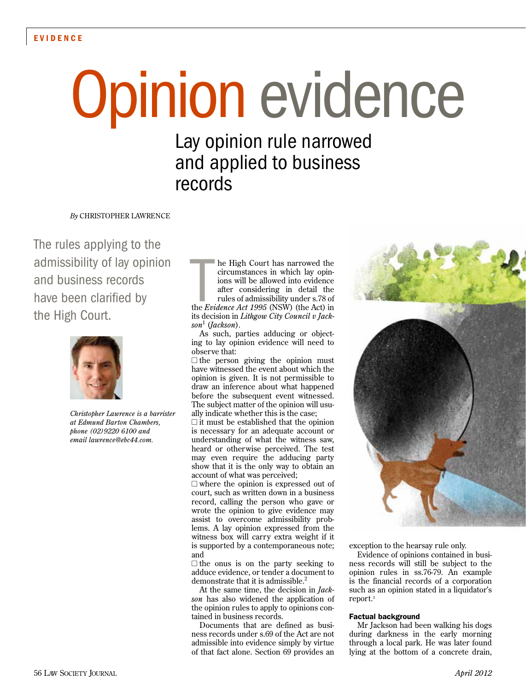# Opinion evidence

Lay opinion rule narrowed and applied to business records

*By* CHRISTOPHER LAWRENCE

The rules applying to the admissibility of lay opinion and business records have been clarified by the High Court.



*Christopher Lawrence is a barrister at Edmund Barton Chambers, phone (02)9220 6100 and email lawrence@ebc44.com.*

the High Court has narrowed the circumstances in which lay opinions will be allowed into evidence after considering in detail the rules of admissibility under s.78 of the *Evidence Act 1995* (NSW) (the Act) in he High Court has narrowed the circumstances in which lay opinions will be allowed into evidence after considering in detail the rules of admissibility under s.78 of its decision in *Lithgow City Council v Jackson*<sup>1</sup> (*Jackson*).

As such, parties adducing or objecting to lay opinion evidence will need to observe that:

 $\Box$  the person giving the opinion must have witnessed the event about which the opinion is given. It is not permissible to draw an inference about what happened before the subsequent event witnessed. The subject matter of the opinion will usually indicate whether this is the case;

 $\Box$  it must be established that the opinion is necessary for an adequate account or understanding of what the witness saw, heard or otherwise perceived. The test may even require the adducing party show that it is the only way to obtain an account of what was perceived;

 $\Box$  where the opinion is expressed out of court, such as written down in a business record, calling the person who gave or wrote the opinion to give evidence may assist to overcome admissibility problems. A lay opinion expressed from the witness box will carry extra weight if it is supported by a contemporaneous note; and

 $\Box$  the onus is on the party seeking to adduce evidence, or tender a document to demonstrate that it is admissible. $\frac{2}{3}$ 

At the same time, the decision in *Jackson* has also widened the application of the opinion rules to apply to opinions contained in business records.

Documents that are defined as business records under s.69 of the Act are not admissible into evidence simply by virtue of that fact alone. Section 69 provides an



exception to the hearsay rule only.

Evidence of opinions contained in business records will still be subject to the opinion rules in ss.76-79. An example is the financial records of a corporation such as an opinion stated in a liquidator's report.3

# Factual background

Mr Jackson had been walking his dogs during darkness in the early morning through a local park. He was later found lying at the bottom of a concrete drain,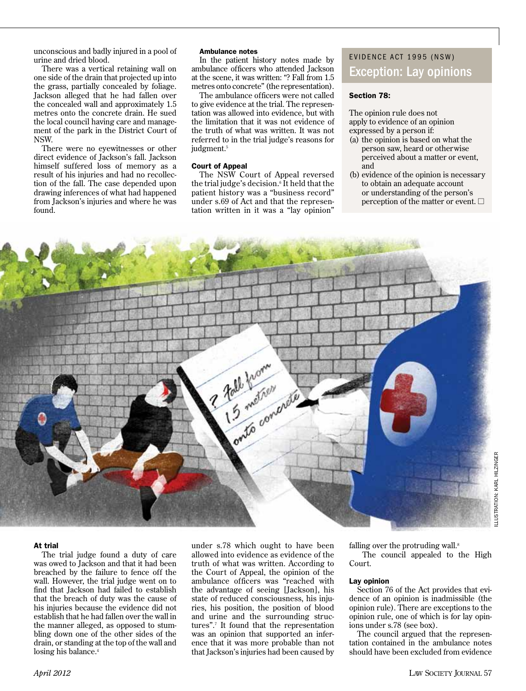unconscious and badly injured in a pool of urine and dried blood.

There was a vertical retaining wall on one side of the drain that projected up into the grass, partially concealed by foliage. Jackson alleged that he had fallen over the concealed wall and approximately 1.5 metres onto the concrete drain. He sued the local council having care and management of the park in the District Court of NSW.

There were no eyewitnesses or other direct evidence of Jackson's fall. Jackson himself suffered loss of memory as a result of his injuries and had no recollection of the fall. The case depended upon drawing inferences of what had happened from Jackson's injuries and where he was found.

## Ambulance notes

In the patient history notes made by ambulance officers who attended Jackson at the scene, it was written: "? Fall from 1.5 metres onto concrete" (the representation).

The ambulance officers were not called to give evidence at the trial. The representation was allowed into evidence, but with the limitation that it was not evidence of the truth of what was written. It was not referred to in the trial judge's reasons for judgment.<sup>5</sup>

#### Court of Appeal

The NSW Court of Appeal reversed the trial judge's decision.<sup>6</sup> It held that the patient history was a "business record" under s.69 of Act and that the representation written in it was a "lay opinion"

# EVIDENCE ACT 1995 (NSW) Exception: Lay opinions

# Section 78:

The opinion rule does not apply to evidence of an opinion expressed by a person if:

- (a) the opinion is based on what the person saw, heard or otherwise perceived about a matter or event, and
- (b) evidence of the opinion is necessary to obtain an adequate account or understanding of the person's perception of the matter or event.  $\Box$



#### At trial

The trial judge found a duty of care was owed to Jackson and that it had been breached by the failure to fence off the wall. However, the trial judge went on to find that Jackson had failed to establish that the breach of duty was the cause of his injuries because the evidence did not establish that he had fallen over the wall in the manner alleged, as opposed to stumbling down one of the other sides of the drain, or standing at the top of the wall and losing his balance.<sup>4</sup>

under s.78 which ought to have been allowed into evidence as evidence of the truth of what was written. According to the Court of Appeal, the opinion of the ambulance officers was "reached with the advantage of seeing [Jackson], his state of reduced consciousness, his injuries, his position, the position of blood and urine and the surrounding structures".7 It found that the representation was an opinion that supported an inference that it was more probable than not that Jackson's injuries had been caused by

falling over the protruding wall. $^8$ The council appealed to the High

Court.

## Lay opinion

Section 76 of the Act provides that evidence of an opinion is inadmissible (the opinion rule). There are exceptions to the opinion rule, one of which is for lay opinions under s.78 (see box).

The council argued that the representation contained in the ambulance notes should have been excluded from evidence